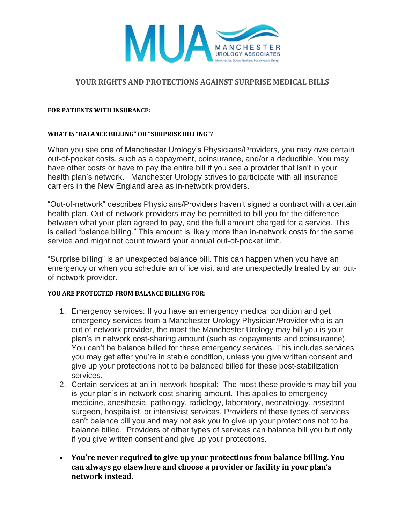

### **YOUR RIGHTS AND PROTECTIONS AGAINST SURPRISE MEDICAL BILLS**

#### **FOR PATIENTS WITH INSURANCE:**

#### **WHAT IS "BALANCE BILLING" OR "SURPRISE BILLING"?**

When you see one of Manchester Urology's Physicians/Providers, you may owe certain out-of-pocket costs, such as a copayment, coinsurance, and/or a deductible. You may have other costs or have to pay the entire bill if you see a provider that isn't in your health plan's network. Manchester Urology strives to participate with all insurance carriers in the New England area as in-network providers.

"Out-of-network" describes Physicians/Providers haven't signed a contract with a certain health plan. Out-of-network providers may be permitted to bill you for the difference between what your plan agreed to pay, and the full amount charged for a service. This is called "balance billing." This amount is likely more than in-network costs for the same service and might not count toward your annual out-of-pocket limit.

"Surprise billing" is an unexpected balance bill. This can happen when you have an emergency or when you schedule an office visit and are unexpectedly treated by an outof-network provider.

#### **YOU ARE PROTECTED FROM BALANCE BILLING FOR:**

- 1. Emergency services: If you have an emergency medical condition and get emergency services from a Manchester Urology Physician/Provider who is an out of network provider, the most the Manchester Urology may bill you is your plan's in network cost-sharing amount (such as copayments and coinsurance). You can't be balance billed for these emergency services. This includes services you may get after you're in stable condition, unless you give written consent and give up your protections not to be balanced billed for these post-stabilization services.
- 2. Certain services at an in-network hospital: The most these providers may bill you is your plan's in-network cost-sharing amount. This applies to emergency medicine, anesthesia, pathology, radiology, laboratory, neonatology, assistant surgeon, hospitalist, or intensivist services. Providers of these types of services can't balance bill you and may not ask you to give up your protections not to be balance billed. Providers of other types of services can balance bill you but only if you give written consent and give up your protections.
- **You're never required to give up your protections from balance billing. You can always go elsewhere and choose a provider or facility in your plan's network instead.**